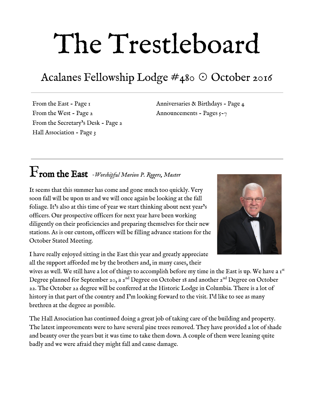# The Trestleboard

# Acalanes Fellowship Lodge #480 ☉ October 2016

From the East - Page 1 From the West - Page 2 From the Secretary's Desk - Page 2 Hall Association - Page 3

Anniversaries & Birthdays - Page 4 Announcements - Pages  $5-7$ 

# From the East *Worshipful Marion P. Rogers, Master*

It seems that this summer has come and gone much too quickly. Very soon fall will be upon us and we will once again be looking at the fall foliage. It's also at this time of year we start thinking about next year's officers. Our prospective officers for next year have been working diligently on their proficiencies and preparing themselves for their new stations. As is our custom, officers will be filling advance stations for the October Stated Meeting.



I have really enjoyed sitting in the East this year and greatly appreciate all the support afforded me by the brothers and, in many cases, their

wives as well. We still have a lot of things to accomplish before my time in the East is up. We have a  $I^{\text{st}}$ Degree planned for September 20, a  $2^{\text{nd}}$  Degree on October 18 and another  $2^{\text{nd}}$  Degree on October 22. The October 22 degree will be conferred at the Historic Lodge in Columbia. There is a lot of history in that part of the country and I'm looking forward to the visit. I'd like to see as many brethren at the degree as possible.

The Hall Association has continued doing a great job of taking care of the building and property. The latest improvements were to have several pine trees removed. They have provided a lot of shade and beauty over the years but it was time to take them down. A couple of them were leaning quite badly and we were afraid they might fall and cause damage.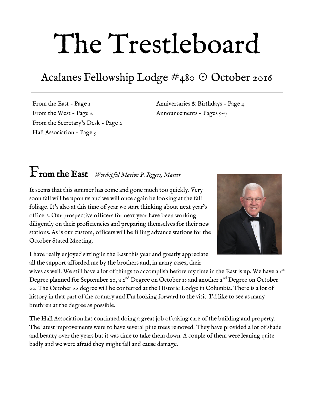The  $167<sup>th</sup>$  Annual Communications this year is schedule for the last few days in October. Think about that  $-$  167 years. That's a long time. Masonry has meant a great deal to many over the years and is still as relevant today as it was when it began in California.

#### From the West *Harry G P Burt, Senior Warden*

This is the marvel, mystery, and magic of Masonry. We know it happens because we see examples

every day in the faces of our brothers and their families. And yet, how does it happen? Does it happen in the fellowship of the Stated Meeting dinner? Is it a result of the admonition in the stated meeting to learn to subdue our passions and improve ourselves in masonry? What about the brother who rarely finds time to attend the stated meeting but constantly fixes things around the lodge and whom we only regularly see at Hall Association meetings? Does it happen as a result of effort put into lodge administration? Does it happen as a result of effort put into learning ritual or providing a



commanding performance in a tiled meeting? Does it happen in that small group of brothers who are always there making sure the lodge is set up for fellowship and ritual?

Then how about those many brothers unable to get to any meetings with us, due to distance, age, or pressures of family and career but still loyally support us through their dues, charitable giving and donations to help us keep going? Does it happen because we feel a duty to our brothers, their widows and orphans?

This is the warp and weft of masonry – all of it and much more. This is what takes good men and makes them better. We are all better through our association with each other, unified through the common experience of the rituals we all went through, as have all fellows and brothers before us.

#### From the Secretary's Desk *Fred Lezak, Secretary*



October is Annual Communication Month. This year, the annual communication of the Grand Lodge of California F & AM will be held on October 28th to October 30th at the California Grand Lodge on California Street in San Francisco. The meetings are open to all masons in good standing. If you are planning on going, please bring your current dues card. Registration is all day Friday and Saturday and attendance is free. There are several special events also open to all masons and in some cases their guests (wives, significant others, etc.). For some of these events, there is a fee. To check out times, schedule of events and general schedule, check the [Grand](http://www.freemason.org/)

[Lodge web page](http://www.freemason.org/) and click on "events" in the upper right hand side of the web page. If you have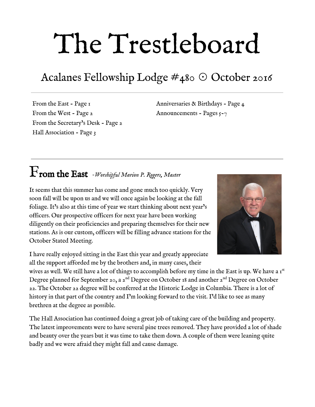never attended an annual communication, you are really missing out on an important part of masonry.

At the Annual Communications, there will be several resolutions and recommended changes to the California Masonic Code, the rules which govern the all masonic lodges in California. Each lodge gets to vote on these resolutions. If you have any interest in these changes in the rules, you can review the rules by going to the [Grand Lodge Website,](http://www.freemason.org/) log on to the member center in the log on section on the left side of the page, go to "Forms" (middle of page), "167 Annual Communications" (middle of page) and finally click on  $\mathfrak{c}_{2}$ - carryover resolutions from 2015 and new resolutions". If you have any comments or thoughts on how you would want the lodge to vote, please contact Worship Master Marion Rogers.

As always, you are invited to attend our stated meeting dinner and meeting on October  $4^{\text{th}}$ . The feeling of brotherly love and good fun continues to abound. Our ritual work is solid and getting better. This is the time for you to return to lodge if you haven't been for a while. Don't feel embarrassed or shy. We want you back and I can guarantee you will be welcomed. You will thank yourself for attending.

#### Hall Association *Bob Smith, President*

The Hall Association is happy to announce that the old pine trees in our parking lot have finally been removed. It makes the parking area look larger and will be much easier to keep clean in the future.

The kitchen is now all sparkles after being cleaned for two days. Many mystery items were found in the refrigerator and tossed. The stove is nice and clean and should stay that way for some time.

Brother Garth Korwin installed a new light and fan in the prep room - finally things will be comfortable for our candidates!

Please let any Hall member know if you see something that needs correction at the lodge.

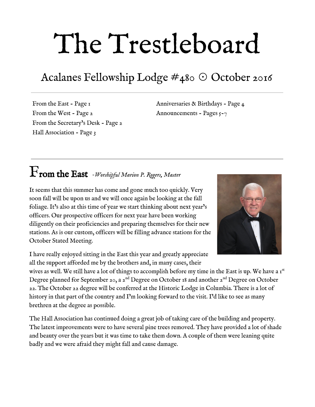

### 3rd Degree Anniversaries

| Raised<br>Name            | Years a     |                          |
|---------------------------|-------------|--------------------------|
|                           |             | MМ                       |
|                           |             |                          |
| Donald K. ChambersA       | 10/15/1948A | 681                      |
| James V. DaveyA           | 10/25/1955A | 6I                       |
| Henry L. HoffmanA         | 10/23/1962A | 54/                      |
| Theodore D. ZellerA       | 10/30/1962Á | أ44                      |
| Richard G. KeihnerA       | 10/13/1978A | 38/                      |
| Thomas E. Riley, III, PMÁ | 10/30/1984A | 321                      |
| Frank P. EssertA          | 10/26/1985A | 3I/                      |
| George R. PeckA           | 10/22/1985A | 3I/                      |
| Kevin S. MooreA           | 10/26/1991Á | 251                      |
| Jeremy K. BranchA         | 10/24/2006Á | $\overline{\mathrm{10}}$ |
| Marion P. RogersA         | 10/24/2009Á | 7 <sup>1</sup>           |
| Robert L. SmithÁ          | 10/1/2011A  | 51                       |
| Adam J. HaninA            | 10/31/2015A | T)                       |
|                           |             |                          |



Birthdays

Please join us in wishing our brethren very happy birthdays this month.

| J.O. Dryden, IIÁ        | October 3             |
|-------------------------|-----------------------|
| Michael E. Roberts, PMÁ | October 4             |
| Charles A. PageA        | October 6             |
| Richard D. MaxwellA     | October 9             |
| Milton F. BruzzoneÁ     | October 15            |
| Max W. King, PMÁ        | October <sub>15</sub> |
| Donald H. Freitas, PMÁ  | October 19            |
| Michael S. WeisA        | October 19            |
| Gerald W. WalkerÁ       | October 31            |
| Gerard M. Wilson, PMA   | October 31            |
|                         |                       |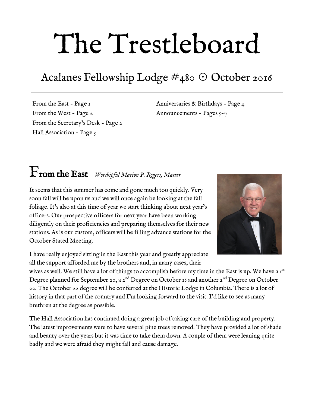

## *2nd Degree Announcements Acalanes Fellowship Lodge No.480*

*Come help our excellent 2nd Degree Ritual Team pass our brethren into Fellowcraft*

# *Terry Killgore*

 *Tuesday, October 18th 6:30pm Acalanes Fellowship Lodge* 

*Jonathan Groetsch* 

 *Saturday, October 22nd 10:00am Columbia Historic Lodge*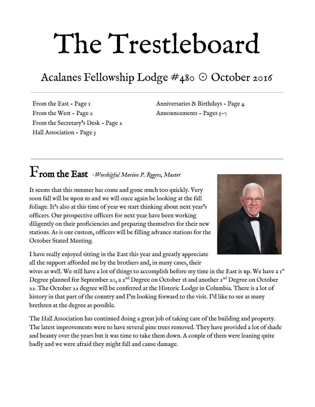